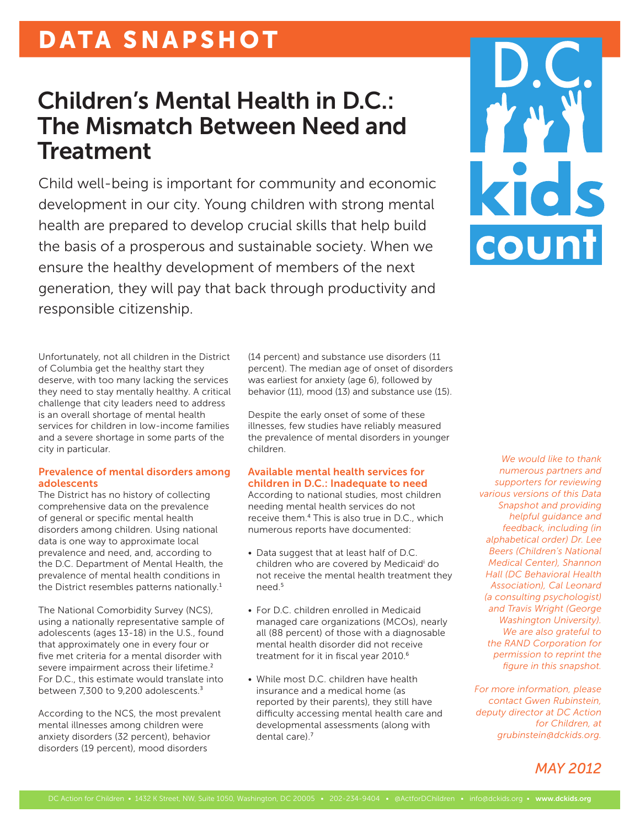## DATA SNAPSHOT

## Children's Mental Health in D.C.: The Mismatch Between Need and Treatment

Child well-being is important for community and economic development in our city. Young children with strong mental health are prepared to develop crucial skills that help build the basis of a prosperous and sustainable society. When we ensure the healthy development of members of the next generation, they will pay that back through productivity and responsible citizenship.



Unfortunately, not all children in the District of Columbia get the healthy start they deserve, with too many lacking the services they need to stay mentally healthy. A critical challenge that city leaders need to address is an overall shortage of mental health services for children in low-income families and a severe shortage in some parts of the city in particular.

#### Prevalence of mental disorders among adolescents

The District has no history of collecting comprehensive data on the prevalence of general or specific mental health disorders among children. Using national data is one way to approximate local prevalence and need, and, according to the D.C. Department of Mental Health, the prevalence of mental health conditions in the District resembles patterns nationally.<sup>1</sup>

The National Comorbidity Survey (NCS), using a nationally representative sample of adolescents (ages 13-18) in the U.S., found that approximately one in every four or five met criteria for a mental disorder with severe impairment across their lifetime.<sup>2</sup> For D.C., this estimate would translate into between 7.300 to 9.200 adolescents.<sup>3</sup>

According to the NCS, the most prevalent mental illnesses among children were anxiety disorders (32 percent), behavior disorders (19 percent), mood disorders

(14 percent) and substance use disorders (11 percent). The median age of onset of disorders was earliest for anxiety (age 6), followed by behavior (11), mood (13) and substance use (15).

Despite the early onset of some of these illnesses, few studies have reliably measured the prevalence of mental disorders in younger children.

#### Available mental health services for children in D.C.: Inadequate to need

According to national studies, most children needing mental health services do not receive them.<sup>4</sup> This is also true in D.C., which numerous reports have documented:

- Data suggest that at least half of D.C. children who are covered by Medicaid<sup>i</sup> do not receive the mental health treatment they need $<sup>5</sup>$ </sup>
- For D.C. children enrolled in Medicaid managed care organizations (MCOs), nearly all (88 percent) of those with a diagnosable mental health disorder did not receive treatment for it in fiscal year 2010.<sup>6</sup>
- While most D.C. children have health insurance and a medical home (as reported by their parents), they still have difficulty accessing mental health care and developmental assessments (along with dental care).<sup>7</sup>

*We would like to thank numerous partners and supporters for reviewing various versions of this Data Snapshot and providing helpful guidance and feedback, including (in alphabetical order) Dr. Lee Beers (Children's National Medical Center), Shannon Hall (DC Behavioral Health Association), Cal Leonard (a consulting psychologist) and Travis Wright (George Washington University). We are also grateful to the RAND Corporation for permission to reprint the figure in this snapshot.* 

*For more information, please contact Gwen Rubinstein, deputy director at DC Action for Children, at grubinstein@dckids.org.*

### *MAY 2012*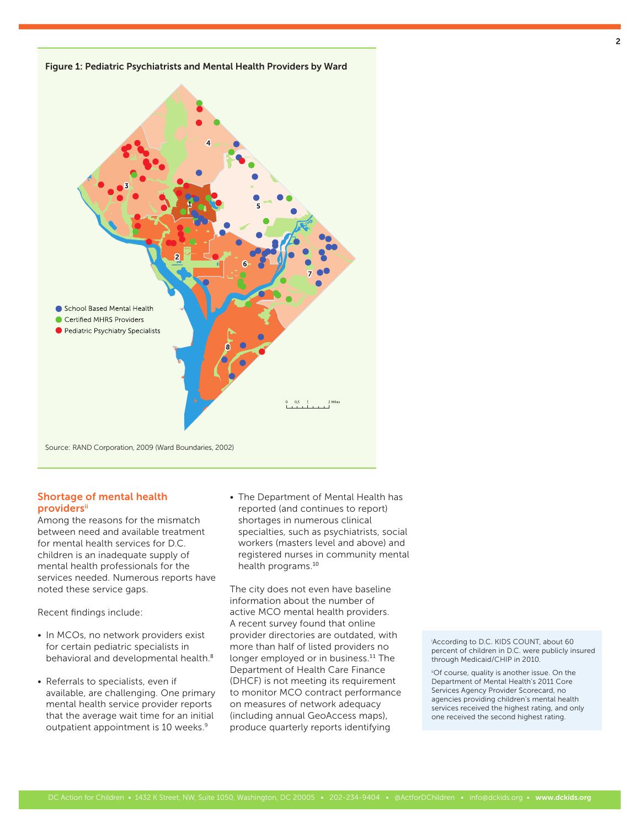

#### Shortage of mental health **providers**ii

Among the reasons for the mismatch between need and available treatment for mental health services for D.C. children is an inadequate supply of mental health professionals for the services needed. Numerous reports have noted these service gaps.

Recent findings include:

- In MCOs, no network providers exist for certain pediatric specialists in behavioral and developmental health.<sup>8</sup>
- Referrals to specialists, even if available, are challenging. One primary mental health service provider reports that the average wait time for an initial outpatient appointment is 10 weeks.<sup>9</sup>

• The Department of Mental Health has reported (and continues to report) shortages in numerous clinical specialties, such as psychiatrists, social workers (masters level and above) and registered nurses in community mental health programs.<sup>10</sup>

The city does not even have baseline information about the number of active MCO mental health providers. A recent survey found that online provider directories are outdated, with more than half of listed providers no longer employed or in business.<sup>11</sup> The Department of Health Care Finance (DHCF) is not meeting its requirement to monitor MCO contract performance on measures of network adequacy (including annual GeoAccess maps), produce quarterly reports identifying

i According to D.C. KIDS COUNT, about 60 percent of children in D.C. were publicly insured through Medicaid/CHIP in 2010.

iiOf course, quality is another issue. On the Department of Mental Health's 2011 Core Services Agency Provider Scorecard, no agencies providing children's mental health services received the highest rating, and only one received the second highest rating.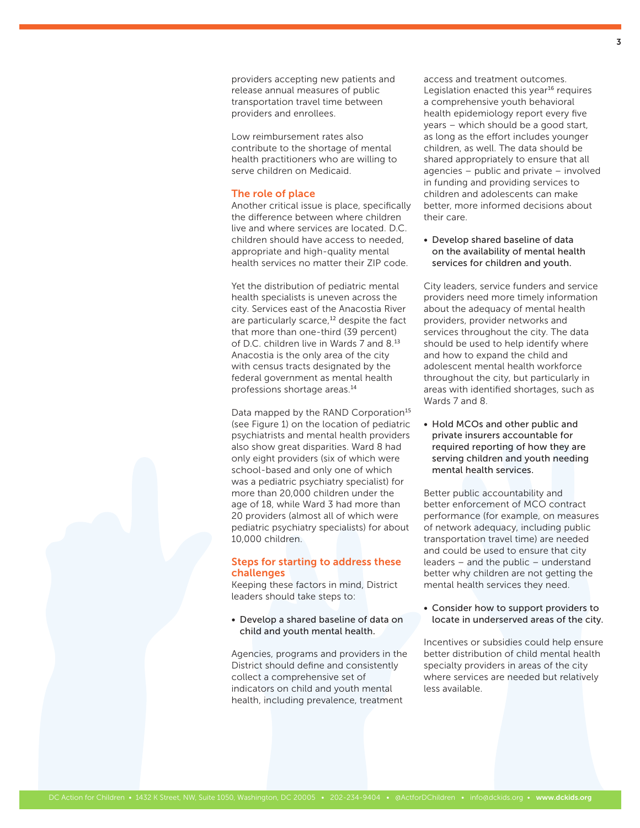providers accepting new patients and release annual measures of public transportation travel time between providers and enrollees.

Low reimbursement rates also contribute to the shortage of mental health practitioners who are willing to serve children on Medicaid.

#### The role of place

Another critical issue is place, specifically the difference between where children live and where services are located. D.C. children should have access to needed, appropriate and high-quality mental health services no matter their ZIP code.

Yet the distribution of pediatric mental health specialists is uneven across the city. Services east of the Anacostia River are particularly scarce,<sup>12</sup> despite the fact that more than one-third (39 percent) of D.C. children live in Wards 7 and 8.<sup>13</sup> Anacostia is the only area of the city with census tracts designated by the federal government as mental health professions shortage areas.<sup>14</sup>

Data mapped by the RAND Corporation<sup>15</sup> (see Figure 1) on the location of pediatric psychiatrists and mental health providers also show great disparities. Ward 8 had only eight providers (six of which were school-based and only one of which was a pediatric psychiatry specialist) for more than 20,000 children under the age of 18, while Ward 3 had more than 20 providers (almost all of which were pediatric psychiatry specialists) for about 10,000 children.

#### Steps for starting to address these challenges

Keeping these factors in mind, District leaders should take steps to:

• Develop a shared baseline of data on child and youth mental health.

Agencies, programs and providers in the District should define and consistently collect a comprehensive set of indicators on child and youth mental health, including prevalence, treatment

access and treatment outcomes. Legislation enacted this year $16$  requires a comprehensive youth behavioral health epidemiology report every five years – which should be a good start, as long as the effort includes younger children, as well. The data should be shared appropriately to ensure that all agencies – public and private – involved in funding and providing services to children and adolescents can make better, more informed decisions about their care.

• Develop shared baseline of data on the availability of mental health services for children and youth.

City leaders, service funders and service providers need more timely information about the adequacy of mental health providers, provider networks and services throughout the city. The data should be used to help identify where and how to expand the child and adolescent mental health workforce throughout the city, but particularly in areas with identified shortages, such as Wards 7 and 8.

• Hold MCOs and other public and private insurers accountable for required reporting of how they are serving children and youth needing mental health services.

Better public accountability and better enforcement of MCO contract performance (for example, on measures of network adequacy, including public transportation travel time) are needed and could be used to ensure that city leaders – and the public – understand better why children are not getting the mental health services they need.

• Consider how to support providers to locate in underserved areas of the city.

Incentives or subsidies could help ensure better distribution of child mental health specialty providers in areas of the city where services are needed but relatively less available.